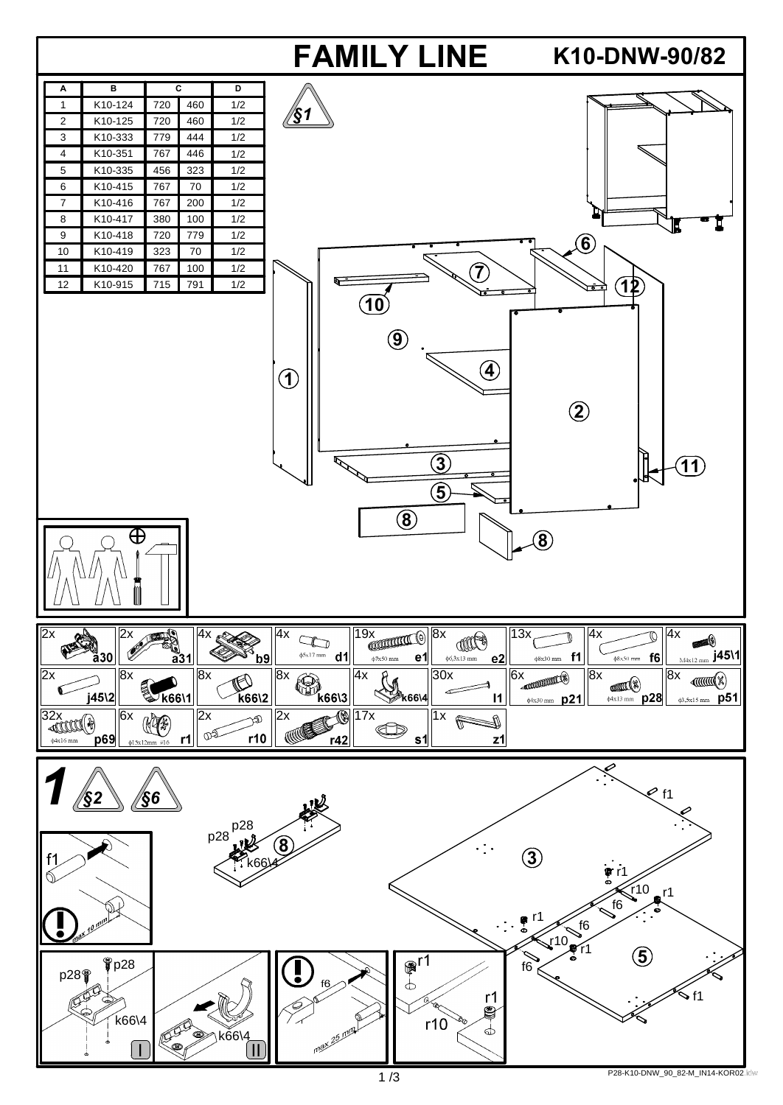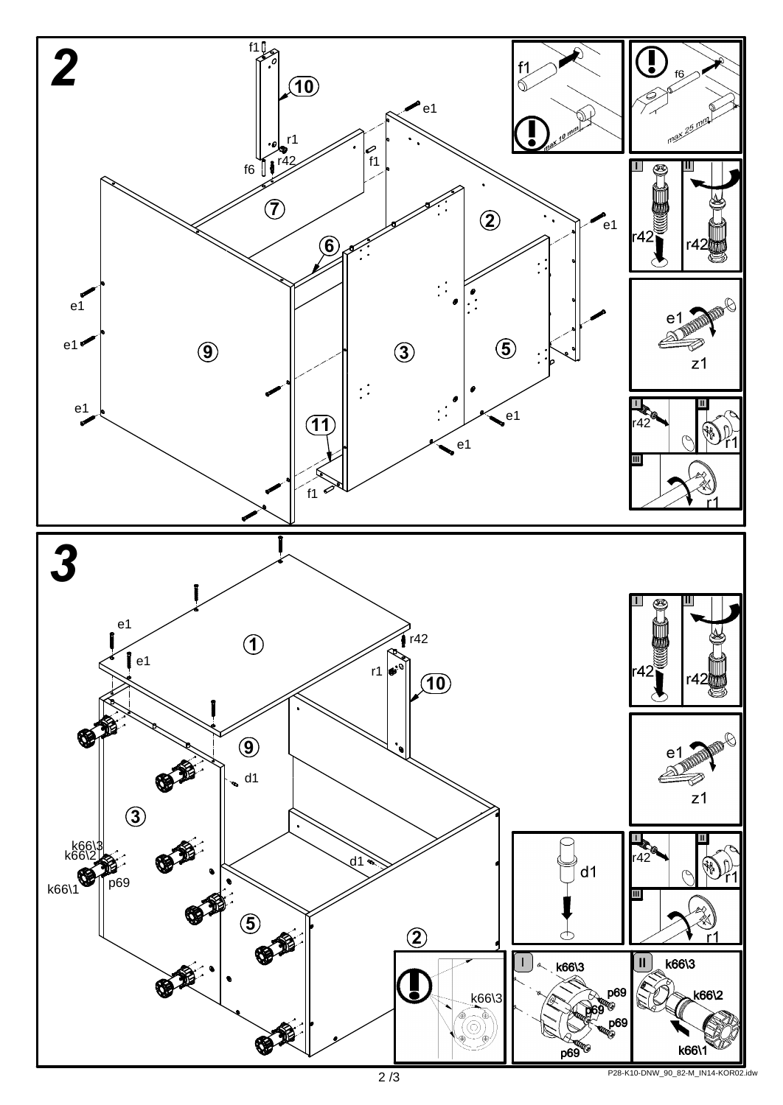